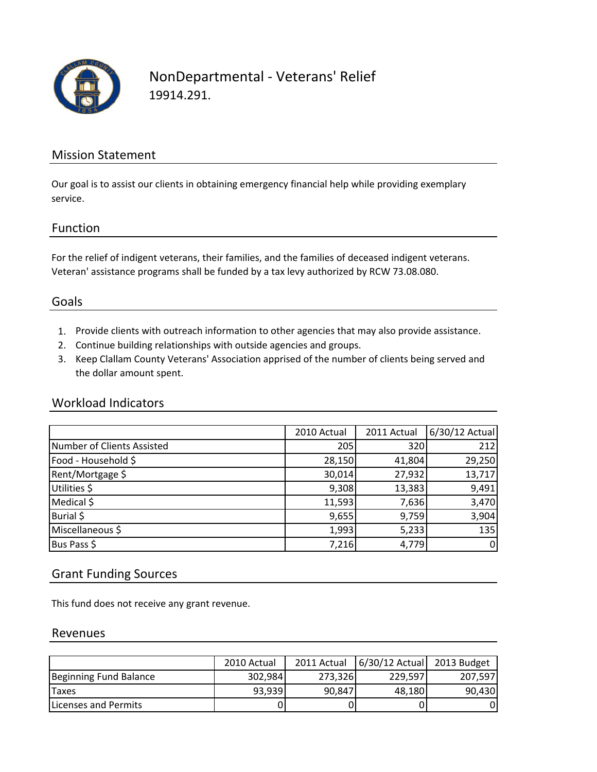

### NonDepartmental ‐ Veterans' Relief 19914.291.

### Mission Statement

Our goal is to assist our clients in obtaining emergency financial help while providing exemplary service.

### Function

For the relief of indigent veterans, their families, and the families of deceased indigent veterans. Veteran' assistance programs shall be funded by a tax levy authorized by RCW 73.08.080.

### Goals

- 1. Provide clients with outreach information to other agencies that may also provide assistance.
- 2. Continue building relationships with outside agencies and groups.
- 3. Keep Clallam County Veterans' Association apprised of the number of clients being served and the dollar amount spent.

### Workload Indicators

|                            | 2010 Actual | 2011 Actual | 6/30/12 Actual |
|----------------------------|-------------|-------------|----------------|
| Number of Clients Assisted | 205         | 320         | 212            |
| Food - Household \$        | 28,150      | 41,804      | 29,250         |
| Rent/Mortgage \$           | 30,014      | 27,932      | 13,717         |
| Utilities \$               | 9,308       | 13,383      | 9,491          |
| Medical \$                 | 11,593      | 7,636       | 3,470          |
| Burial \$                  | 9,655       | 9,759       | 3,904          |
| Miscellaneous \$           | 1,993       | 5,233       | 135            |
| Bus Pass \$                | 7,216       | 4,779       | $\overline{0}$ |

### Grant Funding Sources

This fund does not receive any grant revenue.

#### Revenues

|                        | 2010 Actual | 2011 Actual | 6/30/12 Actual | 2013 Budget |
|------------------------|-------------|-------------|----------------|-------------|
| Beginning Fund Balance | 302,984     | 273,326     | 229.597        | 207,597     |
| 'Taxes                 | 93,939      | 90,847      | 48,180         | 90,430      |
| ILicenses and Permits  |             |             |                | 0           |